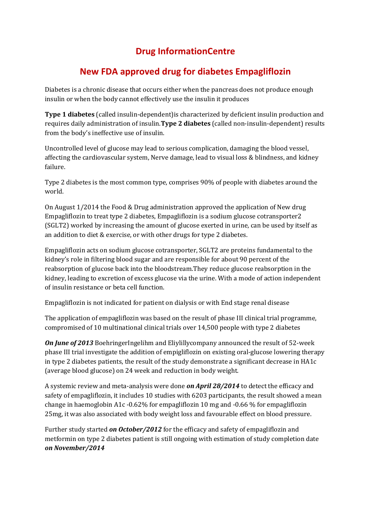## **Drug InformationCentre**

## **New FDA approved drug for diabetes Empagliflozin**

Diabetes is a chronic disease that occurs either when the pancreas does not produce enough insulin or when the body cannot effectively use the insulin it produces

**Type 1 diabetes** (called insulin-dependent)is characterized by deficient insulin production and requires daily administration of insulin.**Type 2 diabetes** (called non-insulin-dependent) results from the body's ineffective use of insulin.

Uncontrolled level of glucose may lead to serious complication, damaging the blood vessel, affecting the cardiovascular system, Nerve damage, lead to visual loss & blindness, and kidney failure.

Type 2 diabetes is the most common type, comprises 90% of people with diabetes around the world.

On August 1/2014 the Food & Drug administration approved the application of New drug Empagliflozin to treat type 2 diabetes, Empagliflozin is a sodium glucose cotransporter2 (SGLT2) worked by increasing the amount of glucose exerted in urine, can be used by itself as an addition to diet & exercise, or with other drugs for type 2 diabetes.

Empagliflozin acts on sodium glucose cotransporter, SGLT2 are proteins fundamental to the kidney's role in filtering blood sugar and are responsible for about 90 percent of the reabsorption of glucose back into the bloodstream.They reduce glucose reabsorption in the kidney, leading to excretion of excess glucose via the urine. With a mode of action independent of insulin resistance or beta cell function.

Empagliflozin is not indicated for patient on dialysis or with End stage renal disease

The application of empagliflozin was based on the result of phase III clinical trial programme, compromised of 10 multinational clinical trials over 14,500 people with type 2 diabetes

*On June of 2013* BoehringerIngelihm and Eliylillycompany announced the result of 52-week phase III trial investigate the addition of empigliflozin on existing oral-glucose lowering therapy in type 2 diabetes patients, the result of the study demonstrate a significant decrease in HA1c (average blood glucose) on 24 week and reduction in body weight.

A systemic review and meta-analysis were done *on April 28/2014* to detect the efficacy and safety of empagliflozin, it includes 10 studies with 6203 participants, the result showed a mean change in haemoglobin A1c -0.62% for empagliflozin 10 mg and -0.66 % for empagliflozin 25mg, it was also associated with body weight loss and favourable effect on blood pressure.

Further study started *on October/2012* for the efficacy and safety of empagliflozin and metformin on type 2 diabetes patient is still ongoing with estimation of study completion date *on November/2014*